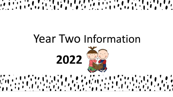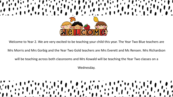

Welcome to Year 2. We are very excited to be teaching your child this year. The Year Two Blue teachers are

Mrs Morris and Mrs Gorbig and the Year Two Gold teachers are Mrs Everett and Ms Rensen. Mrs Richardson

will be teaching across both classrooms and Mrs Kowald will be teaching the Year Two classes on a

Wednesday.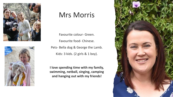



# Mrs Morris

Favourite colour- Green. Favourite food- Chinese. Pets- Bella dog & George the Lamb. Kids: 3 kids. (2 girls & 1 boy).

**I love spending time with my family, swimming, netball, singing, camping and hanging out with my friends!**

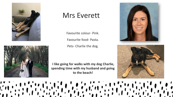



# Mrs Everett

Favourite colour- Pink.

Favourite food- Pasta.

Pets- Charlie the dog.

**I like going for walks with my dog Charlie, spending time with my husband and going to the beach!**

 $\mathbf{r}$ 





 $\left(\begin{array}{c} 1 \\ 1 \end{array}\right)$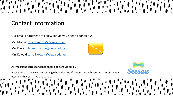# Contact Information

Our email addresses are below should you need to contact us.

Mrs Morris: [Jessica.morris@cewa.edu.au](mailto:Jessica.morris@cewa.edu.au)

Mrs Everett: [lauren.marino@cewa.edu.au](mailto:lauren.marino@cewa.edu.au)

Mrs Kowald [carroll.kowald@cewa.edu.au](mailto:carroll.kowald@cewa.edu.au)

All important correspondence should be sent via email.

Please note that we will be sending whole class notifications through Seesaw. Therefore, it is essential that you have this set up.



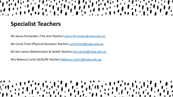### **Specialist Teachers**

Ms Syona Fernandes: (The Arts Teacher) [syona.fernandes@cewa.edu.au](mailto:syona.fernandes@cewa.edu.au)

Ms Carrie Frost (Physical Education Teacher) [carrie.frost@cewa.edu.au](mailto:carrie.frost@cewa.edu.au)

Mr Ken James (Mathematics & Health Teacher) [ken.james@cewa.edu.au](mailto:ken.james@cewa.edu.au)

Mrs Rebecca Curtis (AUSLAN Teacher) [Rebecca.curtis1@cewa.edu.au](mailto:Rebecca.curtis1@cewa.edu.au)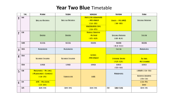#### Year Two Blue Timetable

|                            | TIME  | MONDAY                                                                       | TUESDAY                    | WEDNESDAY                                                                                                       | <b>THURSDAY</b>                                | FRIDAY                                                               |
|----------------------------|-------|------------------------------------------------------------------------------|----------------------------|-----------------------------------------------------------------------------------------------------------------|------------------------------------------------|----------------------------------------------------------------------|
|                            | 9.00  | <b>SPELLING/DICTATION</b>                                                    | <b>SPELLING/DICTATION</b>  | <b>PROTECTIVE BEHAVIOURS</b><br>- MRS KOWALD<br>$(9.00 - 9.30)$<br><b>INVESTIGATION TIME</b><br>$(9.30 - 9.55)$ | <b>HEALTH - MR JAMES</b><br>$(9:00-9:45)$      | <b>SPELLING/DICTATION</b>                                            |
| $\boldsymbol{\mathcal{L}}$ | 9:30  | ENGLISH                                                                      | <b>ENGLISH</b>             | <b>PHYSICAL EDUCATION</b><br>-MS FROST<br>$(9.55 - 10.45)$                                                      | <b>SPELLING/DICTATION</b><br>$(9.45 - 10.30)$  | ENGLISH                                                              |
|                            | 10:45 | RECESS                                                                       | RECESS                     | RECESS                                                                                                          | RECESS<br>$(10.30 - 10.50)$                    | RECESS                                                               |
| $\mathbf{3}$               | 11:05 | <b>MATHEMATICS</b>                                                           | <b>MATHEMATICS</b>         |                                                                                                                 | ENGLISH                                        | <b>MATHEMATICS</b>                                                   |
|                            | 12:00 | <b>RELIGIOUS EDUCATION</b>                                                   | <b>RELIGIOUS EDUCATION</b> | <b>SCIENCE</b><br>-MRS KOWALD                                                                                   | <b>LITURGICAL SINGING</b><br>$(11.35 - 12.20)$ | <b>THE ARTS</b><br>-MS FERNANDEZ                                     |
|                            | 12:50 | LUNCH                                                                        | LUNCH                      | LUNCH                                                                                                           | LUNCH<br>$(12.20 - 1.00)$                      | LUNCH                                                                |
| 5                          | 1:30  | <b>MATHEMATICS - MR JAMES</b><br>(MEASUREMENT & GEOMETRY)<br>$(1.30 - 2.15)$ | <b>TECHNOLOGIES</b>        | HASS                                                                                                            | <b>MATHEMATICS</b>                             | LIBRARY (1:30-1:50)<br><b>RELIGIOUS EDUCATION</b><br>$(4.50 - 2.30)$ |
| $\boldsymbol{6}$           | 2.20  | <b>LOTE - MRS CURTIS</b><br>$(2.20 - 3.05)$                                  |                            |                                                                                                                 |                                                | $(2.30-255)$<br><b>SPORT</b>                                         |
|                            | 3.05  | HOME TIME                                                                    | HOME TIME                  | HOME TIME                                                                                                       | <b>EARLY CLOSE</b><br>2:30                     | HOME TIME                                                            |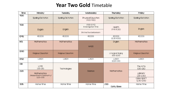#### Year Two Gold Timetable

| <b>Tme</b>      | Monday                                                           | Tuesday             | Wednesday                                                      | Thursday                               | Friday                                                             |
|-----------------|------------------------------------------------------------------|---------------------|----------------------------------------------------------------|----------------------------------------|--------------------------------------------------------------------|
| $q_{OO}$        | Spelling/Dictation                                               | Spelling/Dictation  | Physical Education<br>$(9.00 - 9.50)$                          | Spelling/Dictation                     | Spelling/Dictation                                                 |
| 9 <sub>30</sub> | English                                                          | English             | $(9.55 - 10.45)$<br>hvestigation Time<br>Protective behaviours | <b>Health</b><br>$(9! + 5 - 10.30)$    | English                                                            |
| <b>D-45</b>     | <b>RECESS</b>                                                    | <b>RECESS</b>       | <b>RECESS</b>                                                  | <b>RECESS</b><br>$(10.30 - 10.50)$     | <b>RECESS</b>                                                      |
| EOS             | <b>Mathematics</b>                                               | Mathematics         | <b>HASS</b>                                                    | English                                | Mathematics                                                        |
| 2:00            | Religious Education                                              | Religious Education |                                                                | Liturgical Singing<br>$(1.35 - 12.20)$ | Religious Education                                                |
| 12:50           | <b>LUNCH</b>                                                     | LUNCH               | LUNCH                                                          | LUNCH<br>(I2.20-IOO)                   | <b>LUNCH</b>                                                       |
| 130             | <b>LOTE</b><br>$(1.30 - 2.15)$                                   | Technologies        |                                                                |                                        | The Arts<br>$(1.30 - 2.15)$                                        |
| 220             | <b>Mathematics</b><br>(Measurement & Geometry)<br>$(220 - 3.05)$ |                     | Science                                                        | Mathematics                            | <b>LIBRARY</b><br>$(2I5 - 2.3O)$<br>Class Sport<br>$(2.30 - 2.55)$ |
| 305             | Home time                                                        | Home time           | Home time                                                      | 230<br>Early Close                     | Home time                                                          |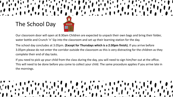# The School Day



The school day concludes at 3.05pm. **(Except for Thursdays which is a 2:30pm finish).** If you arrive before 3.05pm please do not enter the corridor outside the classroom as this is very distracting for the children as they complete their end of day tasks.

If you need to pick up your child from the class during the day, you will need to sign him/her out at the office. This will need to be done before you come to collect your child. The same procedure applies if you arrive late in the mornings.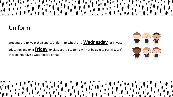# Uniform

Students are to wear their sports uniform to school on a **Wednesday** for Physical

Education and on a **Friday** for class sport. Students will not be able to participate if they do not have a water bottle or hat.





 $\frac{1}{2}$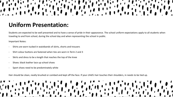# **Uniform Presentation:**

Students are expected to be well presented and to have a sense of pride in their appearance. The school uniform expectations apply to all students when traveling to and from school, during the school day and when representing the school in public.

Important Notes:

- Shirts are worn tucked in waistbands of skirts, shorts and trousers
- Shirt colour buttons are fastened when ties are worn in Term 2 and 3
- Skirts and dress to be a length that reaches the top of the knee
- Shoes: black leather lace up school shoes
- Sport shoes need to be predominately white

Hair should be clean, neatly brushed or combed and kept off the face. If your child's hair touches their shoulders, in needs to be tied up.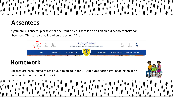#### **Absentees**

If your child is absent, please email the front office. There is also a link on our school website for absentees. This can also be found on the school SZapp



#### **Homework**

Children are encouraged to read aloud to an adult for 5-10 minutes each night. Reading must be recorded in their reading log books.

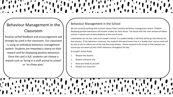#### Behaviour Management in the Classroom

Positive verbal feedback and encouragement will strongly be used in the classroom. Our classroom is using an individual behaviour management system. Students are rewarded a stamp on their reward card for displaying positive behaviour. Once the card is full, students can choose a reward such as 'bring in a stuff animal to school' or 'no shoes pass.'

#### Behaviour Management in the School

We are currently working with a school 'House Token' positive behaviour management system. Children displaying positive behaviours will receive a token for their House. The House with the most amount of tokens receive a reward such as extra playtime at the end of lunch.

Listed below are the four rules at St Joseph's School. If a student breaks a rule they will be go into timeout for five minutes. If the behaviour continues, the students will spend some time in a 'buddy class' and an email will be sent to you to inform you of the rule they have broken. Please respond to the email so that teachers can ensure you are aware of your child's behaviour throughout the day.

St Joseph's School Rules:

- 1. Respect the Teacher
- 2. Respect everyone else
- 3. Keep your body to yourself
- Respect our classroom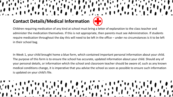#### **Contact Details/Medical Information**

Children requiring medication of any kind at school must bring a letter of explanation to the class teacher and administer the medication themselves. If this is not appropriate, then parents must see Administration. If students require medication throughout the day this will need to be left in the office – under no circumstances is it to be left in their school bag.

In Week 1, your child brought home a blue form, which contained important personal information about your child. The purpose of this form is to ensure the school has accurate, updated information about your child. Should any of your personal details, or information which the school and classroom teacher should be aware of, such as any known medical conditions change, it is imperative that you advise the school as soon as possible to ensure such information is updated on your child's file.